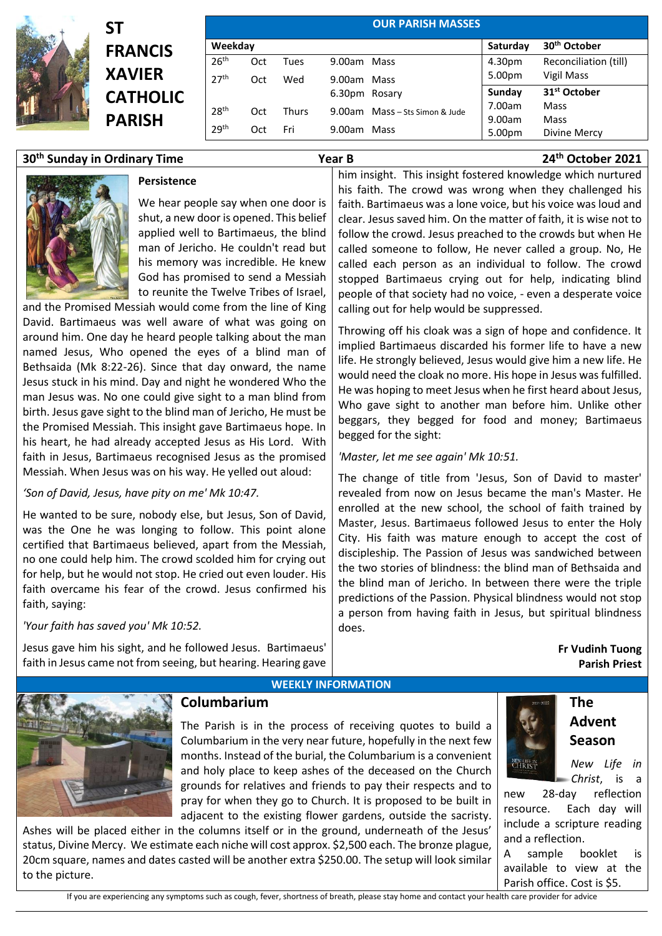

# **ST FRANCIS XAVIER CATHOLIC PARISH**

|                  |     |              |               | <b>OUR PARISH MASSES</b>       |          |                          |
|------------------|-----|--------------|---------------|--------------------------------|----------|--------------------------|
| Weekday          |     |              |               |                                | Saturday | 30 <sup>th</sup> October |
| 26 <sup>th</sup> | Oct | Tues         | 9.00am Mass   |                                | 4.30pm   | Reconciliation (till)    |
| 27 <sup>th</sup> | Oct | Wed          | 9.00am Mass   |                                | 5.00pm   | Vigil Mass               |
|                  |     |              | 6.30pm Rosary |                                | Sunday   | 31 <sup>st</sup> October |
| 28 <sup>th</sup> | Oct | <b>Thurs</b> |               | 9.00am Mass - Sts Simon & Jude | 7.00am   | Mass                     |
|                  |     |              |               |                                | 9.00am   | Mass                     |
| 29 <sup>th</sup> | Oct | Fri          | 9.00am Mass   |                                | 5.00pm   | Divine Mercy             |

# **30th Sunday in Ordinary Time Year B 24th October 2021**



## **Persistence**

We hear people say when one door is shut, a new door is opened. This belief applied well to Bartimaeus, the blind man of Jericho. He couldn't read but his memory was incredible. He knew God has promised to send a Messiah to reunite the Twelve Tribes of Israel,

and the Promised Messiah would come from the line of King David. Bartimaeus was well aware of what was going on around him. One day he heard people talking about the man named Jesus, Who opened the eyes of a blind man of Bethsaida (Mk 8:22-26). Since that day onward, the name Jesus stuck in his mind. Day and night he wondered Who the man Jesus was. No one could give sight to a man blind from birth. Jesus gave sight to the blind man of Jericho, He must be the Promised Messiah. This insight gave Bartimaeus hope. In his heart, he had already accepted Jesus as His Lord. With faith in Jesus, Bartimaeus recognised Jesus as the promised Messiah. When Jesus was on his way. He yelled out aloud:

### *'Son of David, Jesus, have pity on me' Mk 10:47.*

He wanted to be sure, nobody else, but Jesus, Son of David, was the One he was longing to follow. This point alone certified that Bartimaeus believed, apart from the Messiah, no one could help him. The crowd scolded him for crying out for help, but he would not stop. He cried out even louder. His faith overcame his fear of the crowd. Jesus confirmed his faith, saying:

*'Your faith has saved you' Mk 10:52.* 

Jesus gave him his sight, and he followed Jesus. Bartimaeus' faith in Jesus came not from seeing, but hearing. Hearing gave

**Columbarium**

him insight. This insight fostered knowledge which nurtured his faith. The crowd was wrong when they challenged his faith. Bartimaeus was a lone voice, but his voice was loud and clear. Jesus saved him. On the matter of faith, it is wise not to follow the crowd. Jesus preached to the crowds but when He called someone to follow, He never called a group. No, He called each person as an individual to follow. The crowd stopped Bartimaeus crying out for help, indicating blind people of that society had no voice, - even a desperate voice calling out for help would be suppressed.

Throwing off his cloak was a sign of hope and confidence. It implied Bartimaeus discarded his former life to have a new life. He strongly believed, Jesus would give him a new life. He would need the cloak no more. His hope in Jesus was fulfilled. He was hoping to meet Jesus when he first heard about Jesus, Who gave sight to another man before him. Unlike other beggars, they begged for food and money; Bartimaeus begged for the sight:

*'Master, let me see again' Mk 10:51.* 

The change of title from 'Jesus, Son of David to master' revealed from now on Jesus became the man's Master. He enrolled at the new school, the school of faith trained by Master, Jesus. Bartimaeus followed Jesus to enter the Holy City. His faith was mature enough to accept the cost of discipleship. The Passion of Jesus was sandwiched between the two stories of blindness: the blind man of Bethsaida and the blind man of Jericho. In between there were the triple predictions of the Passion. Physical blindness would not stop a person from having faith in Jesus, but spiritual blindness does.

> **Fr Vudinh Tuong Parish Priest**



### **WEEKLY INFORMATION**

The Parish is in the process of receiving quotes to build a Columbarium in the very near future, hopefully in the next few months. Instead of the burial, the Columbarium is a convenient and holy place to keep ashes of the deceased on the Church grounds for relatives and friends to pay their respects and to pray for when they go to Church. It is proposed to be built in adjacent to the existing flower gardens, outside the sacristy.

Ashes will be placed either in the columns itself or in the ground, underneath of the Jesus' status, Divine Mercy. We estimate each niche will cost approx. \$2,500 each. The bronze plague, 20cm square, names and dates casted will be another extra \$250.00. The setup will look similar to the picture.





*New Life in Christ*, is a

new 28-day reflection resource. Each day will include a scripture reading and a reflection.

sample booklet is available to view at the Parish office. Cost is \$5.

If you are experiencing any symptoms such as cough, fever, shortness of breath, please stay home and contact your health care provider for advice